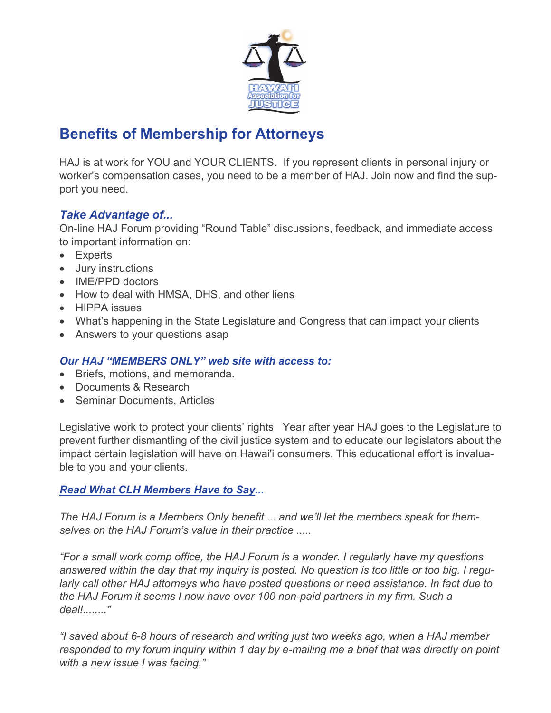

## **Benefits of Membership for Attorneys**

HAJ is at work for YOU and YOUR CLIENTS. If you represent clients in personal injury or worker's compensation cases, you need to be a member of HAJ. Join now and find the support you need.

## *Take Advantage of...*

On-line HAJ Forum providing "Round Table" discussions, feedback, and immediate access to important information on:

- Experts
- Jury instructions
- IME/PPD doctors
- How to deal with HMSA, DHS, and other liens
- HIPPA issues
- What's happening in the State Legislature and Congress that can impact your clients
- Answers to your questions asap

## *Our HAJ "MEMBERS ONLY" web site with access to:*

- Briefs, motions, and memoranda.
- Documents & Research
- Seminar Documents, Articles

Legislative work to protect your clients' rights Year after year HAJ goes to the Legislature to prevent further dismantling of the civil justice system and to educate our legislators about the impact certain legislation will have on Hawai'i consumers. This educational effort is invaluable to you and your clients.

## *Read What CLH Members Have to Say...*

*The HAJ Forum is a Members Only benefit ... and we'll let the members speak for themselves on the HAJ Forum's value in their practice .....*

*"For a small work comp office, the HAJ Forum is a wonder. I regularly have my questions answered within the day that my inquiry is posted. No question is too little or too big. I regularly call other HAJ attorneys who have posted questions or need assistance. In fact due to the HAJ Forum it seems I now have over 100 non-paid partners in my firm. Such a deal!........"*

*"I saved about 6-8 hours of research and writing just two weeks ago, when a HAJ member responded to my forum inquiry within 1 day by e-mailing me a brief that was directly on point with a new issue I was facing."*